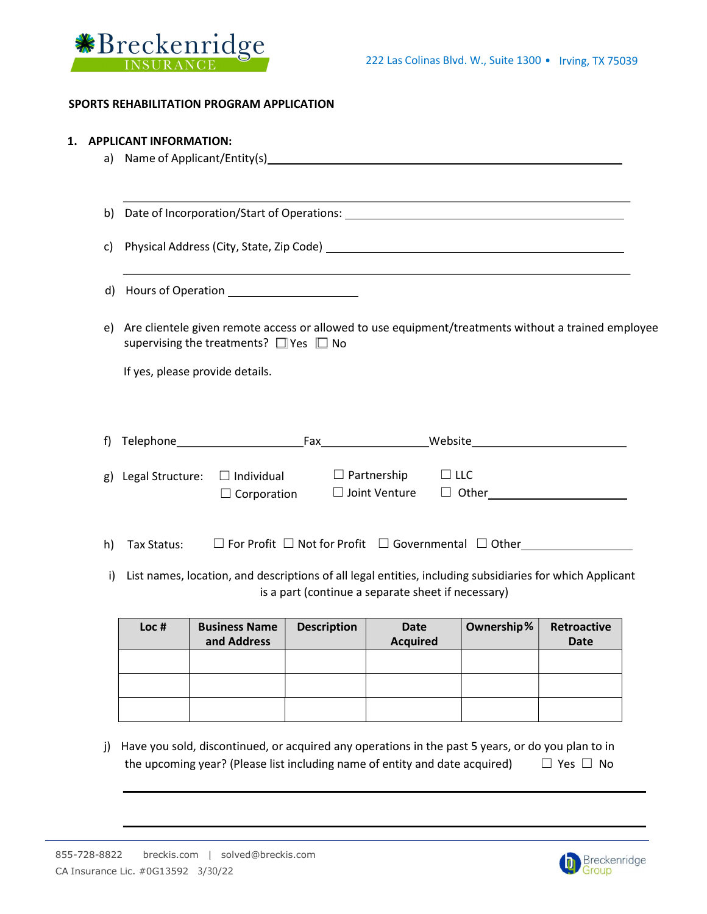



### SPORTS REHABILITATION PROGRAM APPLICATION

#### 1. APPLICANT INFORMATION:

- a) Name of Applicant/Entity(s)
- b) Date of Incorporation/Start of Operations: \_\_\_\_\_\_\_\_\_\_\_\_\_\_\_\_\_\_\_\_\_\_\_\_\_\_\_\_\_\_\_\_\_\_

c) Physical Address (City, State, Zip Code)

- d) Hours of Operation
- e) Are clientele given remote access or allowed to use equipment/treatments without a trained employee supervising the treatments? □ Yes □ No

If yes, please provide details.

| f) | elenhone ، | ۰ax | Website |
|----|------------|-----|---------|
|    |            |     |         |

| g) Legal Structure: $\Box$ Individual |                    | $\Box$ Partnership   | $\Box$ LLC   |
|---------------------------------------|--------------------|----------------------|--------------|
|                                       | $\Box$ Corporation | $\Box$ Joint Venture | $\Box$ Other |

- h) Tax Status: ☐ For Profit ☐ Not for Profit ☐ Governmental ☐ Other
- i) List names, location, and descriptions of all legal entities, including subsidiaries for which Applicant is a part (continue a separate sheet if necessary)

| Loc # | <b>Business Name</b><br>and Address | <b>Description</b> | Date<br><b>Acquired</b> | Ownership% | Retroactive<br><b>Date</b> |
|-------|-------------------------------------|--------------------|-------------------------|------------|----------------------------|
|       |                                     |                    |                         |            |                            |
|       |                                     |                    |                         |            |                            |
|       |                                     |                    |                         |            |                            |

j) Have you sold, discontinued, or acquired any operations in the past 5 years, or do you plan to in the upcoming year? (Please list including name of entity and date acquired)  $□$  Yes  $□$  No

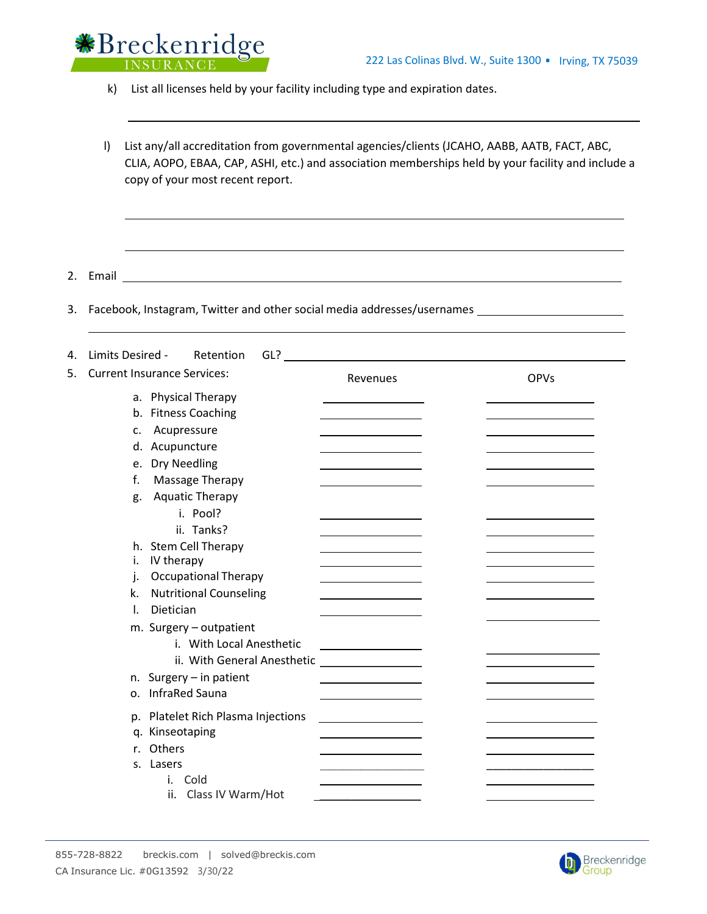

k) List all licenses held by your facility including type and expiration dates.

l) List any/all accreditation from governmental agencies/clients (JCAHO, AABB, AATB, FACT, ABC, CLIA, AOPO, EBAA, CAP, ASHI, etc.) and association memberships held by your facility and include a copy of your most recent report.

2. Email

3. Facebook, Instagram, Twitter and other social media addresses/usernames

| 4. | Limits Desired -<br>$GL$ ?<br>Retention      |          |             |
|----|----------------------------------------------|----------|-------------|
| 5. | <b>Current Insurance Services:</b>           | Revenues | <b>OPVs</b> |
|    | a. Physical Therapy                          |          |             |
|    | b. Fitness Coaching                          |          |             |
|    | Acupressure<br>c.                            |          |             |
|    | d. Acupuncture                               |          |             |
|    | e. Dry Needling                              |          |             |
|    | f.<br>Massage Therapy                        |          |             |
|    | <b>Aquatic Therapy</b><br>g.                 |          |             |
|    | i. Pool?                                     |          |             |
|    | ii. Tanks?                                   |          |             |
|    | h. Stem Cell Therapy                         |          |             |
|    | IV therapy<br>i.                             |          |             |
|    | <b>Occupational Therapy</b><br>j.            |          |             |
|    | <b>Nutritional Counseling</b><br>k.          |          |             |
|    | Dietician<br>I.                              |          |             |
|    | m. Surgery - outpatient                      |          |             |
|    | i. With Local Anesthetic                     |          |             |
|    | ii. With General Anesthetic                  |          |             |
|    |                                              |          |             |
|    | n. Surgery - in patient<br>o. InfraRed Sauna |          |             |
|    |                                              |          |             |
|    | p. Platelet Rich Plasma Injections           |          |             |
|    | q. Kinseotaping                              |          |             |
|    | r. Others                                    |          |             |
|    | s. Lasers                                    |          |             |
|    | Cold                                         |          |             |
|    | ii.<br>Class IV Warm/Hot                     |          |             |

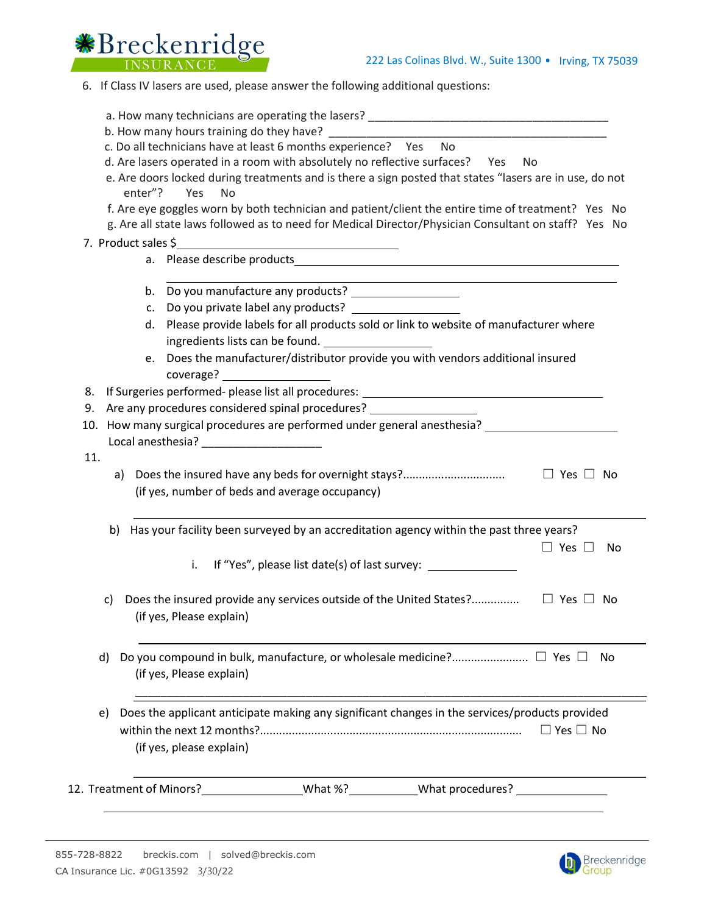

6. If Class IV lasers are used, please answer the following additional questions:

| a. How many technicians are operating the lasers? |  |
|---------------------------------------------------|--|
|---------------------------------------------------|--|

- b. How many hours training do they have?
- c. Do all technicians have at least 6 months experience? Yes No

d. Are lasers operated in a room with absolutely no reflective surfaces? Yes No

- e. Are doors locked during treatments and is there a sign posted that states "lasers are in use, do not enter"? Yes No
- f. Are eye goggles worn by both technician and patient/client the entire time of treatment? Yes No
- g. Are all state laws followed as to need for Medical Director/Physician Consultant on staff? Yes No
- 7. Product sales \$
	- a. Please describe products
	- b. Do you manufacture any products?
	- c. Do you private label any products?
	- d. Please provide labels for all products sold or link to website of manufacturer where ingredients lists can be found.
	- e. Does the manufacturer/distributor provide you with vendors additional insured coverage?
- 8. If Surgeries performed- please list all procedures: \_\_\_\_\_\_\_\_\_\_\_\_\_\_\_\_\_\_\_\_\_\_\_\_\_\_
- 9. Are any procedures considered spinal procedures?
- 10. How many surgical procedures are performed under general anesthesia? Local anesthesia? \_\_\_\_\_\_\_\_\_\_\_\_\_\_\_\_\_\_\_
- 11.
- a) Does the insured have any beds for overnight stays?................................ ☐ Yes ☐ No (if yes, number of beds and average occupancy)
- b) Has your facility been surveyed by an accreditation agency within the past three years?
	- i. If "Yes", please list date(s) of last survey:
- c) Does the insured provide any services outside of the United States?.................  $\Box$  Yes  $\Box$  No (if yes, Please explain)
- d) Do you compound in bulk, manufacture, or wholesale medicine?........................ ☐ Yes ☐ No (if yes, Please explain)

\_\_\_\_\_\_\_\_\_\_\_\_\_\_\_\_\_\_\_\_\_\_\_\_\_\_\_\_\_\_\_\_\_\_\_\_\_\_\_\_\_\_\_\_\_\_\_\_\_\_\_\_\_\_\_\_\_\_\_\_\_\_\_\_\_\_\_\_\_\_\_\_\_\_\_\_\_\_\_\_\_

- e) Does the applicant anticipate making any significant changes in the services/products provided within the next 12 months?.................................................................................. ☐ Yes ☐ No (if yes, please explain)
- 12. Treatment of Minors? What %? What procedures?



☐ Yes ☐ No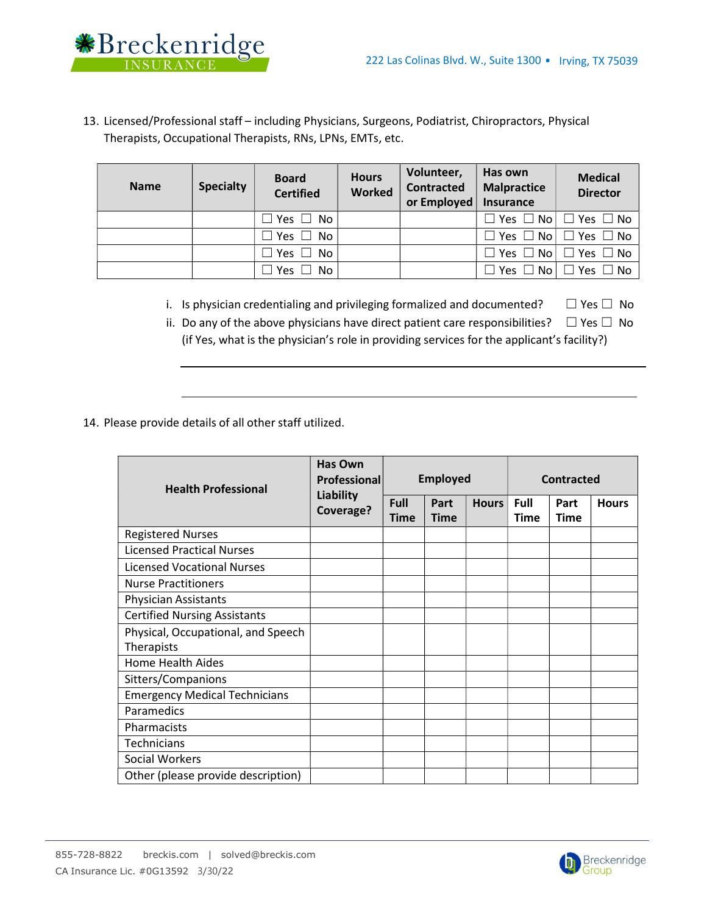

13. Licensed/Professional staff – including Physicians, Surgeons, Podiatrist, Chiropractors, Physical Therapists, Occupational Therapists, RNs, LPNs, EMTs, etc.

| <b>Name</b> | <b>Specialty</b> | <b>Board</b><br><b>Certified</b>       | <b>Hours</b><br><b>Worked</b> | Volunteer,<br><b>Contracted</b><br>or Employed | Has own<br><b>Malpractice</b><br>Insurance | <b>Medical</b><br><b>Director</b>         |
|-------------|------------------|----------------------------------------|-------------------------------|------------------------------------------------|--------------------------------------------|-------------------------------------------|
|             |                  | $\Box$ Yes $\Box$ No                   |                               |                                                | $\Box$ Yes $\Box$ No $\vdash$              | $\Box$ Yes $\Box$ No                      |
|             |                  | Yes $\square$<br>No.<br>$\blacksquare$ |                               |                                                |                                            | $\Box$ Yes $\Box$ No $\Box$ Yes $\Box$ No |
|             |                  | $\mid$ Yes $\Box$<br><b>No</b>         |                               |                                                | $\Box$ Yes $\Box$ No $\vert$               | $\Box$ Yes $\Box$ No                      |
|             |                  | Yes $\square$<br><b>No</b>             |                               |                                                | Yes $\Box$ No                              | $\Box$ Yes $\ \Box$ No                    |

- i. Is physician credentialing and privileging formalized and documented?  $□$  Yes  $□$  No
- ii. Do any of the above physicians have direct patient care responsibilities?  $\Box$  Yes  $\Box$  No (if Yes, what is the physician's role in providing services for the applicant's facility?)

14. Please provide details of all other staff utilized.

| <b>Health Professional</b>           | <b>Has Own</b><br><b>Professionall</b><br><b>Liability</b> | <b>Employed</b>            |                     |              | <b>Contracted</b>          |                     |              |
|--------------------------------------|------------------------------------------------------------|----------------------------|---------------------|--------------|----------------------------|---------------------|--------------|
|                                      | Coverage?                                                  | <b>Full</b><br><b>Time</b> | Part<br><b>Time</b> | <b>Hours</b> | <b>Full</b><br><b>Time</b> | Part<br><b>Time</b> | <b>Hours</b> |
| <b>Registered Nurses</b>             |                                                            |                            |                     |              |                            |                     |              |
| <b>Licensed Practical Nurses</b>     |                                                            |                            |                     |              |                            |                     |              |
| <b>Licensed Vocational Nurses</b>    |                                                            |                            |                     |              |                            |                     |              |
| <b>Nurse Practitioners</b>           |                                                            |                            |                     |              |                            |                     |              |
| <b>Physician Assistants</b>          |                                                            |                            |                     |              |                            |                     |              |
| <b>Certified Nursing Assistants</b>  |                                                            |                            |                     |              |                            |                     |              |
| Physical, Occupational, and Speech   |                                                            |                            |                     |              |                            |                     |              |
| <b>Therapists</b>                    |                                                            |                            |                     |              |                            |                     |              |
| Home Health Aides                    |                                                            |                            |                     |              |                            |                     |              |
| Sitters/Companions                   |                                                            |                            |                     |              |                            |                     |              |
| <b>Emergency Medical Technicians</b> |                                                            |                            |                     |              |                            |                     |              |
| Paramedics                           |                                                            |                            |                     |              |                            |                     |              |
| Pharmacists                          |                                                            |                            |                     |              |                            |                     |              |
| <b>Technicians</b>                   |                                                            |                            |                     |              |                            |                     |              |
| <b>Social Workers</b>                |                                                            |                            |                     |              |                            |                     |              |
| Other (please provide description)   |                                                            |                            |                     |              |                            |                     |              |

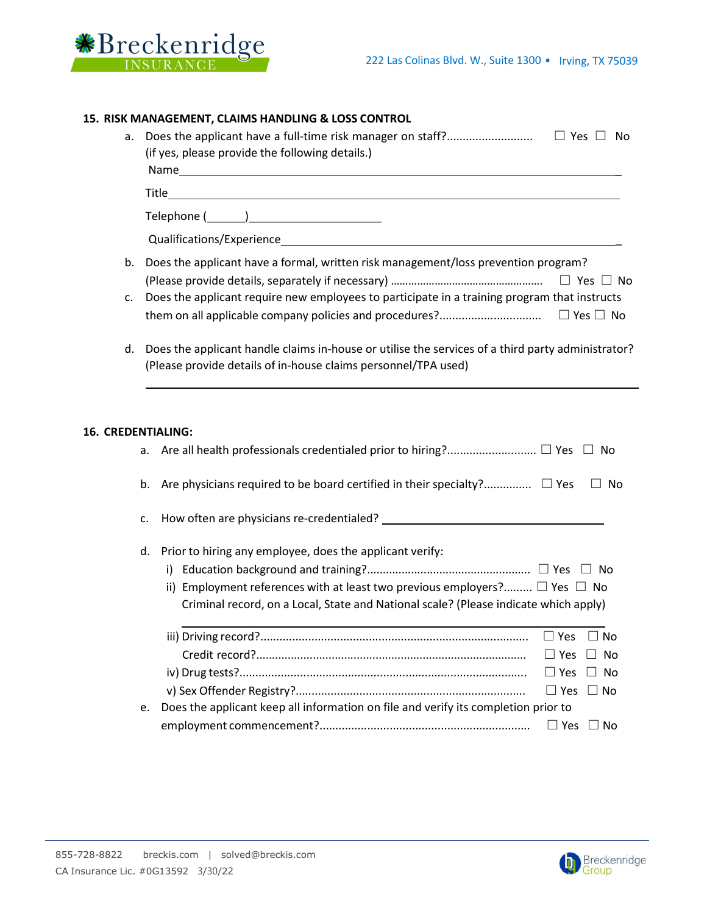

|    | 15. RISK MANAGEMENT, CLAIMS HANDLING & LOSS CONTROL                                                            |                   |      |  |  |  |
|----|----------------------------------------------------------------------------------------------------------------|-------------------|------|--|--|--|
| а. | Does the applicant have a full-time risk manager on staff?<br>(if yes, please provide the following details.)  | $\Box$ Yes $\Box$ | - No |  |  |  |
|    | Title                                                                                                          |                   |      |  |  |  |
|    |                                                                                                                |                   |      |  |  |  |
|    | Qualifications/Experience                                                                                      |                   |      |  |  |  |
| b. | Does the applicant have a formal, written risk management/loss prevention program?<br>No.                      |                   |      |  |  |  |
|    | ★ coordio coordio can coordio coordio coordio coordio con categoria de la categoria coordio de la tradición de |                   |      |  |  |  |

- c. Does the applicant require new employees to participate in a training program that instructs them on all applicable company policies and procedures?................................ ☐ Yes ☐ No
- d. Does the applicant handle claims in-house or utilise the services of a third party administrator? (Please provide details of in-house claims personnel/TPA used)

#### 16. CREDENTIALING:

| a. | No                                                                                                                                                                                                                                       |
|----|------------------------------------------------------------------------------------------------------------------------------------------------------------------------------------------------------------------------------------------|
| b. | Are physicians required to be board certified in their specialty? $\square$ Yes<br>No.                                                                                                                                                   |
| c. |                                                                                                                                                                                                                                          |
| d. | Prior to hiring any employee, does the applicant verify:<br>ii) Employment references with at least two previous employers? $\Box$ Yes $\Box$ No<br>Criminal record, on a Local, State and National scale? (Please indicate which apply) |
|    | $\Box$ Yes<br>No<br>$\Box$ Yes<br>$\Box$ No<br>$\Box$ Yes<br>$\Box$ No<br>$\Box$ Yes<br>No.                                                                                                                                              |
| e. | Does the applicant keep all information on file and verify its completion prior to<br>$\Box$ Yes<br>No.                                                                                                                                  |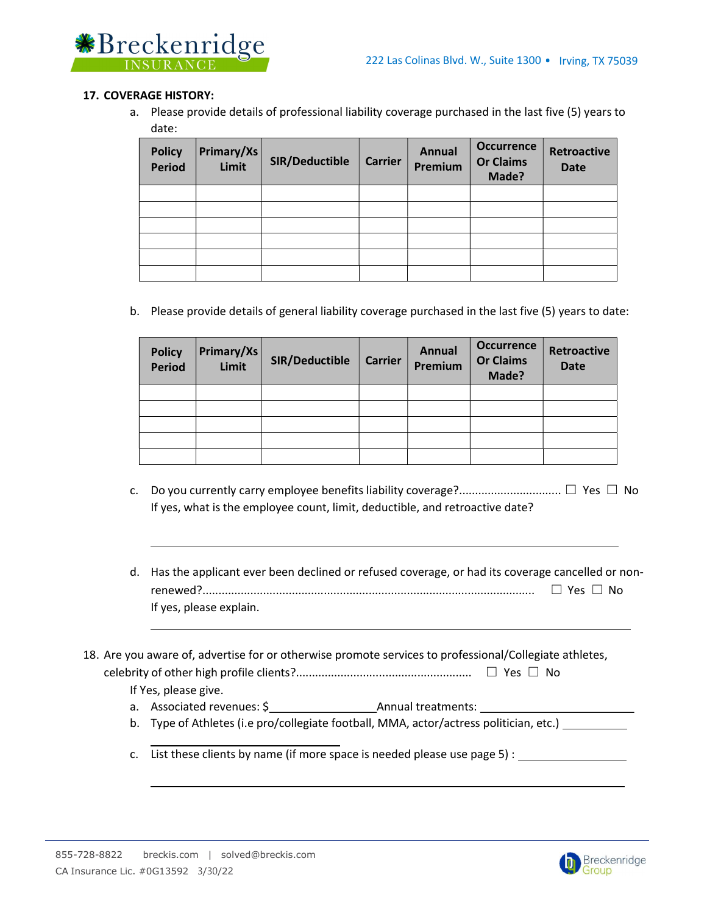

### 17. COVERAGE HISTORY:

a. Please provide details of professional liability coverage purchased in the last five (5) years to date:

| <b>Policy</b><br><b>Period</b> | Primary/Xs<br>Limit | SIR/Deductible | <b>Carrier</b> | <b>Annual</b><br>Premium | <b>Occurrence</b><br><b>Or Claims</b><br>Made? | <b>Retroactive</b><br><b>Date</b> |
|--------------------------------|---------------------|----------------|----------------|--------------------------|------------------------------------------------|-----------------------------------|
|                                |                     |                |                |                          |                                                |                                   |
|                                |                     |                |                |                          |                                                |                                   |
|                                |                     |                |                |                          |                                                |                                   |
|                                |                     |                |                |                          |                                                |                                   |
|                                |                     |                |                |                          |                                                |                                   |
|                                |                     |                |                |                          |                                                |                                   |

b. Please provide details of general liability coverage purchased in the last five (5) years to date:

| <b>Policy</b><br><b>Period</b> | Primary/Xs<br>Limit | SIR/Deductible | <b>Carrier</b> | <b>Annual</b><br>Premium | <b>Occurrence</b><br><b>Or Claims</b><br>Made? | <b>Retroactive</b><br><b>Date</b> |
|--------------------------------|---------------------|----------------|----------------|--------------------------|------------------------------------------------|-----------------------------------|
|                                |                     |                |                |                          |                                                |                                   |
|                                |                     |                |                |                          |                                                |                                   |
|                                |                     |                |                |                          |                                                |                                   |
|                                |                     |                |                |                          |                                                |                                   |
|                                |                     |                |                |                          |                                                |                                   |

- c. Do you currently carry employee benefits liability coverage?................................ ☐ Yes ☐ No If yes, what is the employee count, limit, deductible, and retroactive date?
- d. Has the applicant ever been declined or refused coverage, or had its coverage cancelled or nonrenewed?........................................................................................................ ☐ Yes ☐ No If yes, please explain.

18. Are you aware of, advertise for or otherwise promote services to professional/Collegiate athletes, celebrity of other high profile clients?....................................................... ☐ Yes ☐ No If Yes, please give.

- a. Associated revenues: \$ Annual treatments:
- b. Type of Athletes (i.e pro/collegiate football, MMA, actor/actress politician, etc.)
- c. List these clients by name (if more space is needed please use page 5) :

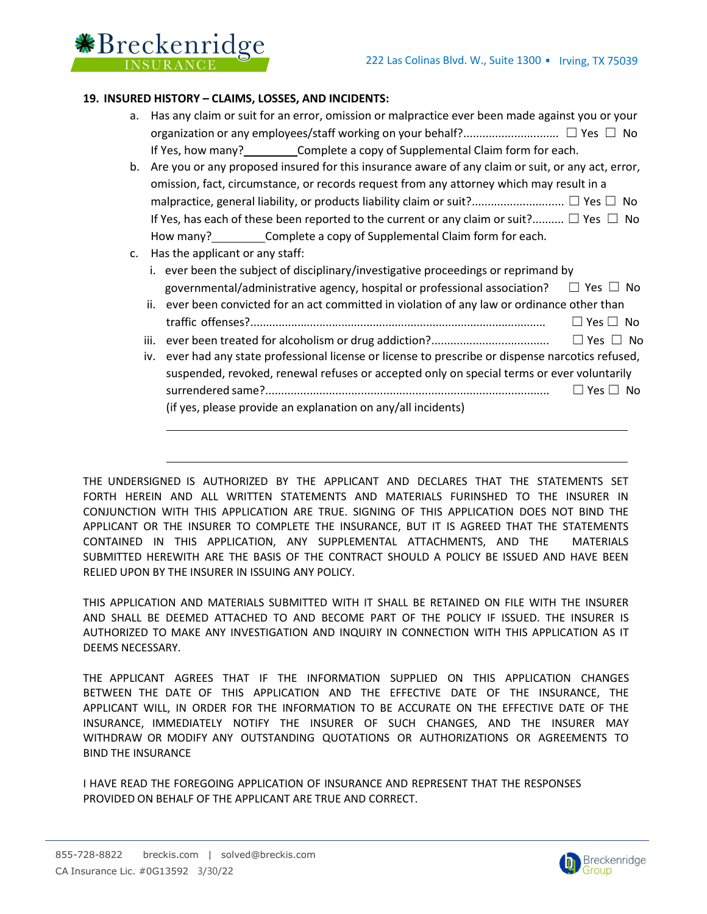

# 19. INSURED HISTORY – CLAIMS, LOSSES, AND INCIDENTS:

- a. Has any claim or suit for an error, omission or malpractice ever been made against you or your organization or any employees/staff working on your behalf?.............................. ☐ Yes ☐ No If Yes, how many? Complete a copy of Supplemental Claim form for each.
- b. Are you or any proposed insured for this insurance aware of any claim or suit, or any act, error, omission, fact, circumstance, or records request from any attorney which may result in a malpractice, general liability, or products liability claim or suit?............................. ☐ Yes ☐ No If Yes, has each of these been reported to the current or any claim or suit?..........  $\Box$  Yes  $\Box$  No How many? Complete a copy of Supplemental Claim form for each.
- c. Has the applicant or any staff:
	- i. ever been the subject of disciplinary/investigative proceedings or reprimand by governmental/administrative agency, hospital or professional association?  $\Box$  Yes  $\Box$  No
	- ii. ever been convicted for an act committed in violation of any law or ordinance other than traffic offenses?.............................................................................................. ☐ Yes ☐ No
	- iii. ever been treated for alcoholism or drug addiction?..................................... ☐ Yes ☐ No
	- iv. ever had any state professional license or license to prescribe or dispense narcotics refused, suspended, revoked, renewal refuses or accepted only on special terms or ever voluntarily surrendered same?......................................................................................... ☐ Yes ☐ No (if yes, please provide an explanation on any/all incidents)

THE UNDERSIGNED IS AUTHORIZED BY THE APPLICANT AND DECLARES THAT THE STATEMENTS SET FORTH HEREIN AND ALL WRITTEN STATEMENTS AND MATERIALS FURINSHED TO THE INSURER IN CONJUNCTION WITH THIS APPLICATION ARE TRUE. SIGNING OF THIS APPLICATION DOES NOT BIND THE APPLICANT OR THE INSURER TO COMPLETE THE INSURANCE, BUT IT IS AGREED THAT THE STATEMENTS CONTAINED IN THIS APPLICATION, ANY SUPPLEMENTAL ATTACHMENTS, AND THE MATERIALS SUBMITTED HEREWITH ARE THE BASIS OF THE CONTRACT SHOULD A POLICY BE ISSUED AND HAVE BEEN RELIED UPON BY THE INSURER IN ISSUING ANY POLICY.

THIS APPLICATION AND MATERIALS SUBMITTED WITH IT SHALL BE RETAINED ON FILE WITH THE INSURER AND SHALL BE DEEMED ATTACHED TO AND BECOME PART OF THE POLICY IF ISSUED. THE INSURER IS AUTHORIZED TO MAKE ANY INVESTIGATION AND INQUIRY IN CONNECTION WITH THIS APPLICATION AS IT DEEMS NECESSARY.

THE APPLICANT AGREES THAT IF THE INFORMATION SUPPLIED ON THIS APPLICATION CHANGES BETWEEN THE DATE OF THIS APPLICATION AND THE EFFECTIVE DATE OF THE INSURANCE, THE APPLICANT WILL, IN ORDER FOR THE INFORMATION TO BE ACCURATE ON THE EFFECTIVE DATE OF THE INSURANCE, IMMEDIATELY NOTIFY THE INSURER OF SUCH CHANGES, AND THE INSURER MAY WITHDRAW OR MODIFY ANY OUTSTANDING QUOTATIONS OR AUTHORIZATIONS OR AGREEMENTS TO BIND THE INSURANCE

I HAVE READ THE FOREGOING APPLICATION OF INSURANCE AND REPRESENT THAT THE RESPONSES PROVIDED ON BEHALF OF THE APPLICANT ARE TRUE AND CORRECT.

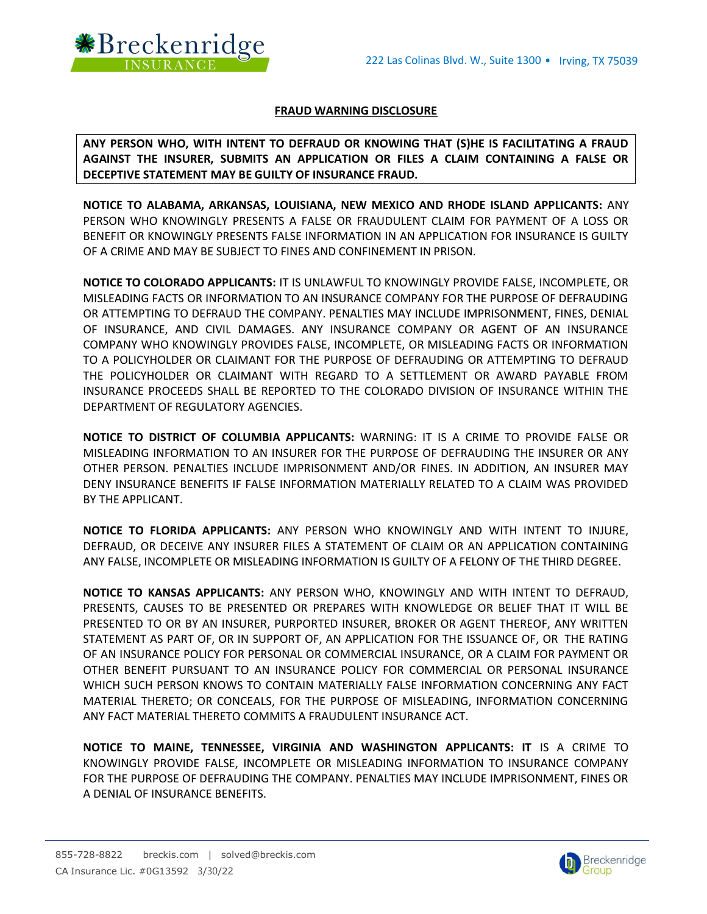

## FRAUD WARNING DISCLOSURE

ANY PERSON WHO, WITH INTENT TO DEFRAUD OR KNOWING THAT (S)HE IS FACILITATING A FRAUD AGAINST THE INSURER, SUBMITS AN APPLICATION OR FILES A CLAIM CONTAINING A FALSE OR DECEPTIVE STATEMENT MAY BE GUILTY OF INSURANCE FRAUD.

NOTICE TO ALABAMA, ARKANSAS, LOUISIANA, NEW MEXICO AND RHODE ISLAND APPLICANTS: ANY PERSON WHO KNOWINGLY PRESENTS A FALSE OR FRAUDULENT CLAIM FOR PAYMENT OF A LOSS OR BENEFIT OR KNOWINGLY PRESENTS FALSE INFORMATION IN AN APPLICATION FOR INSURANCE IS GUILTY OF A CRIME AND MAY BE SUBJECT TO FINES AND CONFINEMENT IN PRISON.

NOTICE TO COLORADO APPLICANTS: IT IS UNLAWFUL TO KNOWINGLY PROVIDE FALSE, INCOMPLETE, OR MISLEADING FACTS OR INFORMATION TO AN INSURANCE COMPANY FOR THE PURPOSE OF DEFRAUDING OR ATTEMPTING TO DEFRAUD THE COMPANY. PENALTIES MAY INCLUDE IMPRISONMENT, FINES, DENIAL OF INSURANCE, AND CIVIL DAMAGES. ANY INSURANCE COMPANY OR AGENT OF AN INSURANCE COMPANY WHO KNOWINGLY PROVIDES FALSE, INCOMPLETE, OR MISLEADING FACTS OR INFORMATION TO A POLICYHOLDER OR CLAIMANT FOR THE PURPOSE OF DEFRAUDING OR ATTEMPTING TO DEFRAUD THE POLICYHOLDER OR CLAIMANT WITH REGARD TO A SETTLEMENT OR AWARD PAYABLE FROM INSURANCE PROCEEDS SHALL BE REPORTED TO THE COLORADO DIVISION OF INSURANCE WITHIN THE DEPARTMENT OF REGULATORY AGENCIES.

NOTICE TO DISTRICT OF COLUMBIA APPLICANTS: WARNING: IT IS A CRIME TO PROVIDE FALSE OR MISLEADING INFORMATION TO AN INSURER FOR THE PURPOSE OF DEFRAUDING THE INSURER OR ANY OTHER PERSON. PENALTIES INCLUDE IMPRISONMENT AND/OR FINES. IN ADDITION, AN INSURER MAY DENY INSURANCE BENEFITS IF FALSE INFORMATION MATERIALLY RELATED TO A CLAIM WAS PROVIDED BY THE APPLICANT.

NOTICE TO FLORIDA APPLICANTS: ANY PERSON WHO KNOWINGLY AND WITH INTENT TO INJURE, DEFRAUD, OR DECEIVE ANY INSURER FILES A STATEMENT OF CLAIM OR AN APPLICATION CONTAINING ANY FALSE, INCOMPLETE OR MISLEADING INFORMATION IS GUILTY OF A FELONY OF THE THIRD DEGREE.

NOTICE TO KANSAS APPLICANTS: ANY PERSON WHO, KNOWINGLY AND WITH INTENT TO DEFRAUD, PRESENTS, CAUSES TO BE PRESENTED OR PREPARES WITH KNOWLEDGE OR BELIEF THAT IT WILL BE PRESENTED TO OR BY AN INSURER, PURPORTED INSURER, BROKER OR AGENT THEREOF, ANY WRITTEN STATEMENT AS PART OF, OR IN SUPPORT OF, AN APPLICATION FOR THE ISSUANCE OF, OR THE RATING OF AN INSURANCE POLICY FOR PERSONAL OR COMMERCIAL INSURANCE, OR A CLAIM FOR PAYMENT OR OTHER BENEFIT PURSUANT TO AN INSURANCE POLICY FOR COMMERCIAL OR PERSONAL INSURANCE WHICH SUCH PERSON KNOWS TO CONTAIN MATERIALLY FALSE INFORMATION CONCERNING ANY FACT MATERIAL THERETO; OR CONCEALS, FOR THE PURPOSE OF MISLEADING, INFORMATION CONCERNING ANY FACT MATERIAL THERETO COMMITS A FRAUDULENT INSURANCE ACT.

NOTICE TO MAINE, TENNESSEE, VIRGINIA AND WASHINGTON APPLICANTS: IT IS A CRIME TO KNOWINGLY PROVIDE FALSE, INCOMPLETE OR MISLEADING INFORMATION TO INSURANCE COMPANY FOR THE PURPOSE OF DEFRAUDING THE COMPANY. PENALTIES MAY INCLUDE IMPRISONMENT, FINES OR A DENIAL OF INSURANCE BENEFITS.